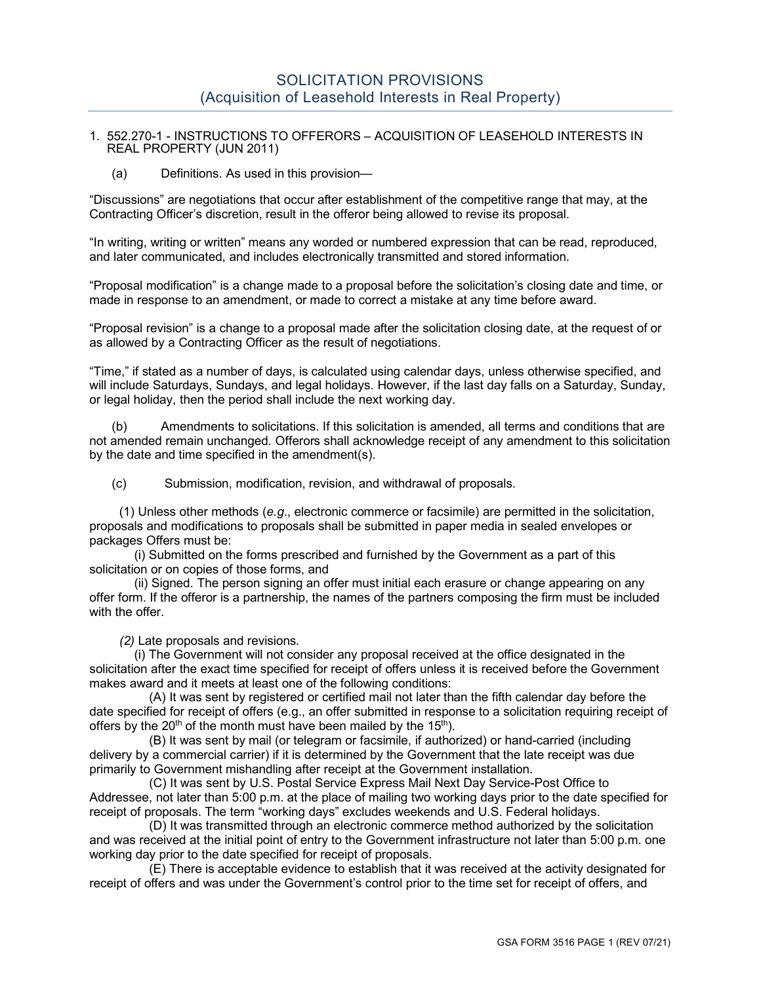### 1. 552.270-1 - INSTRUCTIONS TO OFFERORS – ACQUISITION OF LEASEHOLD INTERESTS IN REAL PROPERTY (JUN 2011)

(a) Definitions. As used in this provision—

"Discussions" are negotiations that occur after establishment of the competitive range that may, at the Contracting Officer's discretion, result in the offeror being allowed to revise its proposal.

"In writing, writing or written" means any worded or numbered expression that can be read, reproduced, and later communicated, and includes electronically transmitted and stored information.

"Proposal modification" is a change made to a proposal before the solicitation's closing date and time, or made in response to an amendment, or made to correct a mistake at any time before award.

"Proposal revision" is a change to a proposal made after the solicitation closing date, at the request of or as allowed by a Contracting Officer as the result of negotiations.

"Time," if stated as a number of days, is calculated using calendar days, unless otherwise specified, and will include Saturdays, Sundays, and legal holidays. However, if the last day falls on a Saturday, Sunday, or legal holiday, then the period shall include the next working day.

(b) Amendments to solicitations. If this solicitation is amended, all terms and conditions that are not amended remain unchanged. Offerors shall acknowledge receipt of any amendment to this solicitation by the date and time specified in the amendment(s).

(c) Submission, modification, revision, and withdrawal of proposals.

(1) Unless other methods (*e.g*., electronic commerce or facsimile) are permitted in the solicitation, proposals and modifications to proposals shall be submitted in paper media in sealed envelopes or packages Offers must be:

(i) Submitted on the forms prescribed and furnished by the Government as a part of this solicitation or on copies of those forms, and

(ii) Signed. The person signing an offer must initial each erasure or change appearing on any offer form. If the offeror is a partnership, the names of the partners composing the firm must be included with the offer.

*(2)* Late proposals and revisions*.*

(i) The Government will not consider any proposal received at the office designated in the solicitation after the exact time specified for receipt of offers unless it is received before the Government makes award and it meets at least one of the following conditions:

(A) It was sent by registered or certified mail not later than the fifth calendar day before the date specified for receipt of offers (e.g., an offer submitted in response to a solicitation requiring receipt of offers by the  $20<sup>th</sup>$  of the month must have been mailed by the 15<sup>th</sup>).

(B) It was sent by mail (or telegram or facsimile, if authorized) or hand-carried (including delivery by a commercial carrier) if it is determined by the Government that the late receipt was due primarily to Government mishandling after receipt at the Government installation.

(C) It was sent by U.S. Postal Service Express Mail Next Day Service-Post Office to Addressee, not later than 5:00 p.m. at the place of mailing two working days prior to the date specified for receipt of proposals. The term "working days" excludes weekends and U.S. Federal holidays.

(D) It was transmitted through an electronic commerce method authorized by the solicitation and was received at the initial point of entry to the Government infrastructure not later than 5:00 p.m. one working day prior to the date specified for receipt of proposals.

(E) There is acceptable evidence to establish that it was received at the activity designated for receipt of offers and was under the Government's control prior to the time set for receipt of offers, and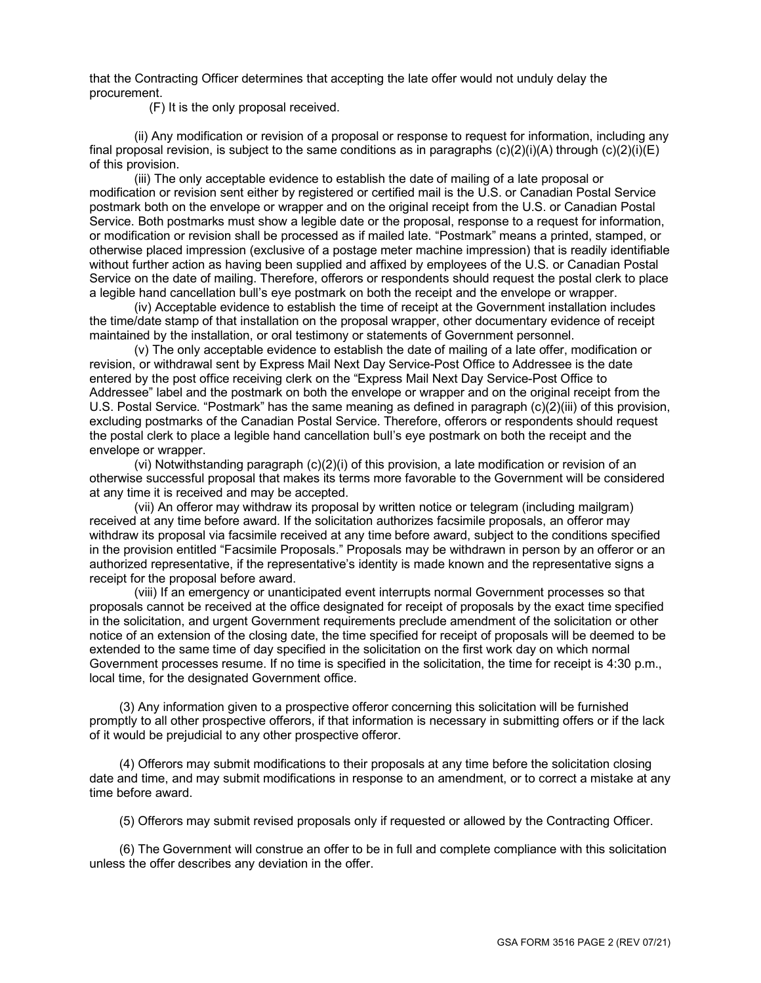that the Contracting Officer determines that accepting the late offer would not unduly delay the procurement.

(F) It is the only proposal received.

(ii) Any modification or revision of a proposal or response to request for information, including any final proposal revision, is subject to the same conditions as in paragraphs  $(c)(2)(i)(A)$  through  $(c)(2)(i)(E)$ of this provision.

(iii) The only acceptable evidence to establish the date of mailing of a late proposal or modification or revision sent either by registered or certified mail is the U.S. or Canadian Postal Service postmark both on the envelope or wrapper and on the original receipt from the U.S. or Canadian Postal Service. Both postmarks must show a legible date or the proposal, response to a request for information, or modification or revision shall be processed as if mailed late. "Postmark" means a printed, stamped, or otherwise placed impression (exclusive of a postage meter machine impression) that is readily identifiable without further action as having been supplied and affixed by employees of the U.S. or Canadian Postal Service on the date of mailing. Therefore, offerors or respondents should request the postal clerk to place a legible hand cancellation bull's eye postmark on both the receipt and the envelope or wrapper.

(iv) Acceptable evidence to establish the time of receipt at the Government installation includes the time/date stamp of that installation on the proposal wrapper, other documentary evidence of receipt maintained by the installation, or oral testimony or statements of Government personnel.

(v) The only acceptable evidence to establish the date of mailing of a late offer, modification or revision, or withdrawal sent by Express Mail Next Day Service-Post Office to Addressee is the date entered by the post office receiving clerk on the "Express Mail Next Day Service-Post Office to Addressee" label and the postmark on both the envelope or wrapper and on the original receipt from the U.S. Postal Service. "Postmark" has the same meaning as defined in paragraph (c)(2)(iii) of this provision, excluding postmarks of the Canadian Postal Service. Therefore, offerors or respondents should request the postal clerk to place a legible hand cancellation bull's eye postmark on both the receipt and the envelope or wrapper.

(vi) Notwithstanding paragraph (c)(2)(i) of this provision, a late modification or revision of an otherwise successful proposal that makes its terms more favorable to the Government will be considered at any time it is received and may be accepted.

(vii) An offeror may withdraw its proposal by written notice or telegram (including mailgram) received at any time before award. If the solicitation authorizes facsimile proposals, an offeror may withdraw its proposal via facsimile received at any time before award, subject to the conditions specified in the provision entitled "Facsimile Proposals." Proposals may be withdrawn in person by an offeror or an authorized representative, if the representative's identity is made known and the representative signs a receipt for the proposal before award.

(viii) If an emergency or unanticipated event interrupts normal Government processes so that proposals cannot be received at the office designated for receipt of proposals by the exact time specified in the solicitation, and urgent Government requirements preclude amendment of the solicitation or other notice of an extension of the closing date, the time specified for receipt of proposals will be deemed to be extended to the same time of day specified in the solicitation on the first work day on which normal Government processes resume. If no time is specified in the solicitation, the time for receipt is 4:30 p.m., local time, for the designated Government office.

(3) Any information given to a prospective offeror concerning this solicitation will be furnished promptly to all other prospective offerors, if that information is necessary in submitting offers or if the lack of it would be prejudicial to any other prospective offeror.

(4) Offerors may submit modifications to their proposals at any time before the solicitation closing date and time, and may submit modifications in response to an amendment, or to correct a mistake at any time before award.

(5) Offerors may submit revised proposals only if requested or allowed by the Contracting Officer.

(6) The Government will construe an offer to be in full and complete compliance with this solicitation unless the offer describes any deviation in the offer.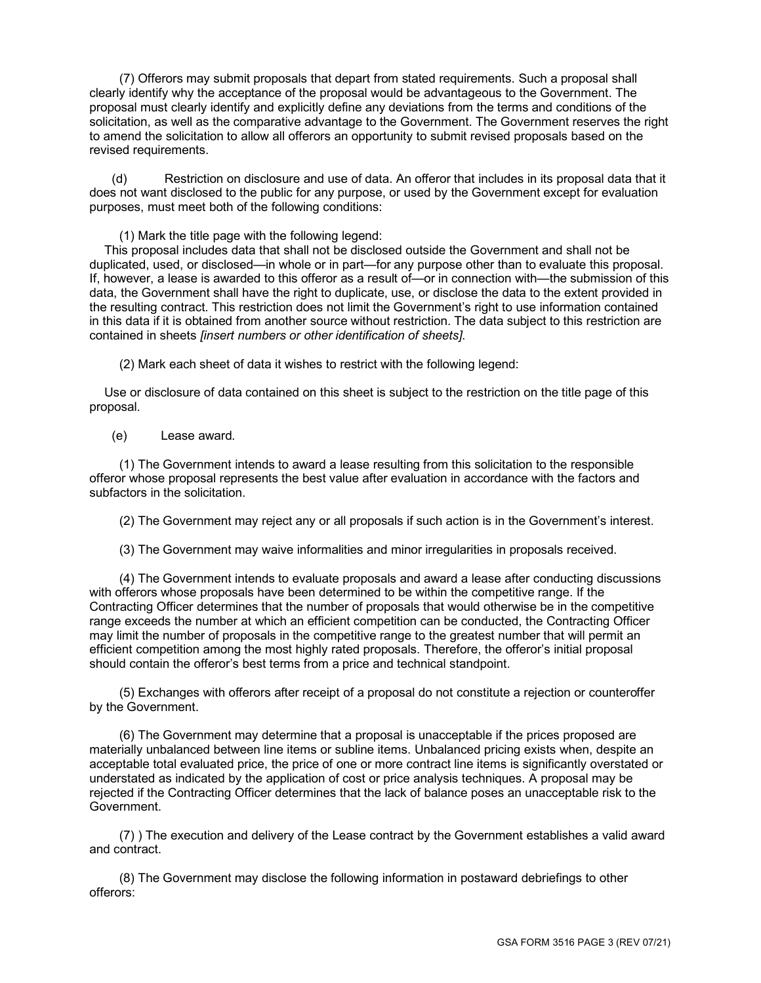(7) Offerors may submit proposals that depart from stated requirements. Such a proposal shall clearly identify why the acceptance of the proposal would be advantageous to the Government. The proposal must clearly identify and explicitly define any deviations from the terms and conditions of the solicitation, as well as the comparative advantage to the Government. The Government reserves the right to amend the solicitation to allow all offerors an opportunity to submit revised proposals based on the revised requirements.

(d) Restriction on disclosure and use of data. An offeror that includes in its proposal data that it does not want disclosed to the public for any purpose, or used by the Government except for evaluation purposes, must meet both of the following conditions:

(1) Mark the title page with the following legend:

This proposal includes data that shall not be disclosed outside the Government and shall not be duplicated, used, or disclosed—in whole or in part—for any purpose other than to evaluate this proposal. If, however, a lease is awarded to this offeror as a result of—or in connection with—the submission of this data, the Government shall have the right to duplicate, use, or disclose the data to the extent provided in the resulting contract. This restriction does not limit the Government's right to use information contained in this data if it is obtained from another source without restriction. The data subject to this restriction are contained in sheets *[insert numbers or other identification of sheets]*.

(2) Mark each sheet of data it wishes to restrict with the following legend:

Use or disclosure of data contained on this sheet is subject to the restriction on the title page of this proposal.

(e) Lease award*.*

(1) The Government intends to award a lease resulting from this solicitation to the responsible offeror whose proposal represents the best value after evaluation in accordance with the factors and subfactors in the solicitation.

(2) The Government may reject any or all proposals if such action is in the Government's interest.

(3) The Government may waive informalities and minor irregularities in proposals received.

(4) The Government intends to evaluate proposals and award a lease after conducting discussions with offerors whose proposals have been determined to be within the competitive range. If the Contracting Officer determines that the number of proposals that would otherwise be in the competitive range exceeds the number at which an efficient competition can be conducted, the Contracting Officer may limit the number of proposals in the competitive range to the greatest number that will permit an efficient competition among the most highly rated proposals. Therefore, the offeror's initial proposal should contain the offeror's best terms from a price and technical standpoint.

(5) Exchanges with offerors after receipt of a proposal do not constitute a rejection or counteroffer by the Government.

(6) The Government may determine that a proposal is unacceptable if the prices proposed are materially unbalanced between line items or subline items. Unbalanced pricing exists when, despite an acceptable total evaluated price, the price of one or more contract line items is significantly overstated or understated as indicated by the application of cost or price analysis techniques. A proposal may be rejected if the Contracting Officer determines that the lack of balance poses an unacceptable risk to the Government.

(7) ) The execution and delivery of the Lease contract by the Government establishes a valid award and contract.

(8) The Government may disclose the following information in postaward debriefings to other offerors: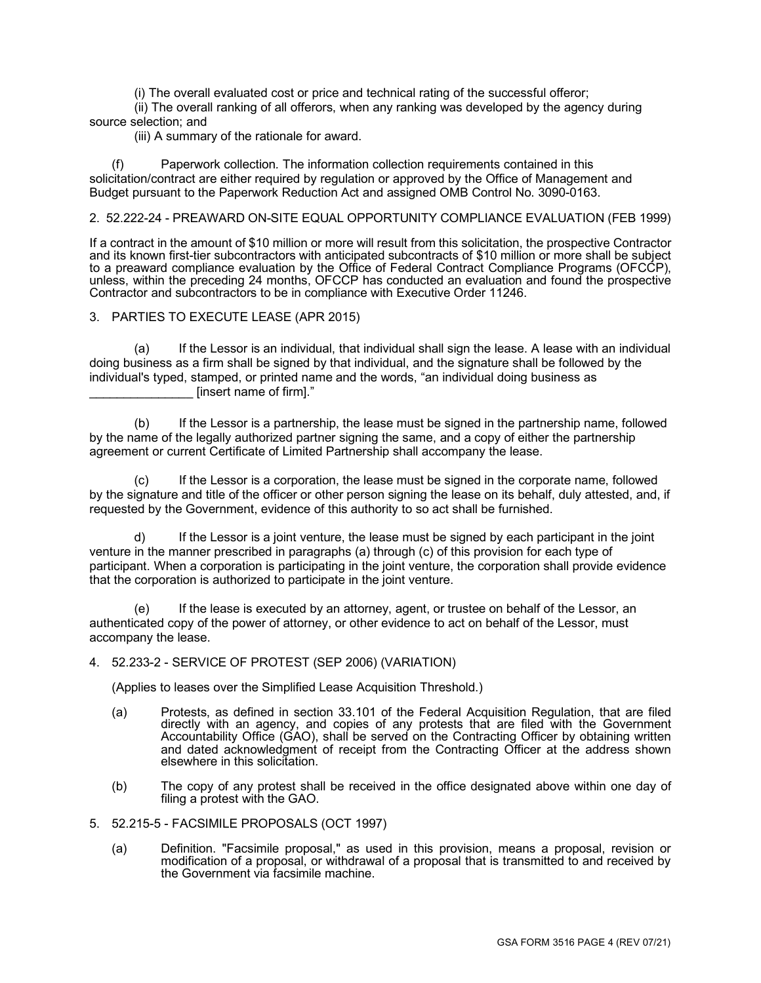(i) The overall evaluated cost or price and technical rating of the successful offeror;

(ii) The overall ranking of all offerors, when any ranking was developed by the agency during source selection; and

(iii) A summary of the rationale for award.

(f) Paperwork collection*.* The information collection requirements contained in this solicitation/contract are either required by regulation or approved by the Office of Management and Budget pursuant to the Paperwork Reduction Act and assigned OMB Control No. 3090-0163.

# 2. 52.222-24 - PREAWARD ON-SITE EQUAL OPPORTUNITY COMPLIANCE EVALUATION (FEB 1999)

If a contract in the amount of \$10 million or more will result from this solicitation, the prospective Contractor and its known first-tier subcontractors with anticipated subcontracts of \$10 million or more shall be subject to a preaward compliance evaluation by the Office of Federal Contract Compliance Programs (OFCCP), unless, within the preceding 24 months, OFCCP has conducted an evaluation and found the prospective Contractor and subcontractors to be in compliance with Executive Order 11246.

### 3. PARTIES TO EXECUTE LEASE (APR 2015)

(a) If the Lessor is an individual, that individual shall sign the lease. A lease with an individual doing business as a firm shall be signed by that individual, and the signature shall be followed by the individual's typed, stamped, or printed name and the words, "an individual doing business as [insert name of firm]."

(b) If the Lessor is a partnership, the lease must be signed in the partnership name, followed by the name of the legally authorized partner signing the same, and a copy of either the partnership agreement or current Certificate of Limited Partnership shall accompany the lease.

(c) If the Lessor is a corporation, the lease must be signed in the corporate name, followed by the signature and title of the officer or other person signing the lease on its behalf, duly attested, and, if requested by the Government, evidence of this authority to so act shall be furnished.

d) If the Lessor is a joint venture, the lease must be signed by each participant in the joint venture in the manner prescribed in paragraphs (a) through (c) of this provision for each type of participant. When a corporation is participating in the joint venture, the corporation shall provide evidence that the corporation is authorized to participate in the joint venture.

(e) If the lease is executed by an attorney, agent, or trustee on behalf of the Lessor, an authenticated copy of the power of attorney, or other evidence to act on behalf of the Lessor, must accompany the lease.

#### 4. 52.233-2 - SERVICE OF PROTEST (SEP 2006) (VARIATION)

(Applies to leases over the Simplified Lease Acquisition Threshold.)

- (a) Protests, as defined in section 33.101 of the Federal Acquisition Regulation, that are filed directly with an agency, and copies of any protests that are filed with the Government Accountability Office (GAO), shall be served on the Contracting Officer by obtaining written and dated acknowledgment of receipt from the Contracting Officer at the address shown elsewhere in this solicitation.
- (b) The copy of any protest shall be received in the office designated above within one day of filing a protest with the GAO.
- 5. 52.215-5 FACSIMILE PROPOSALS (OCT 1997)
	- (a) Definition. "Facsimile proposal," as used in this provision, means a proposal, revision or modification of a proposal, or withdrawal of a proposal that is transmitted to and received by the Government via facsimile machine.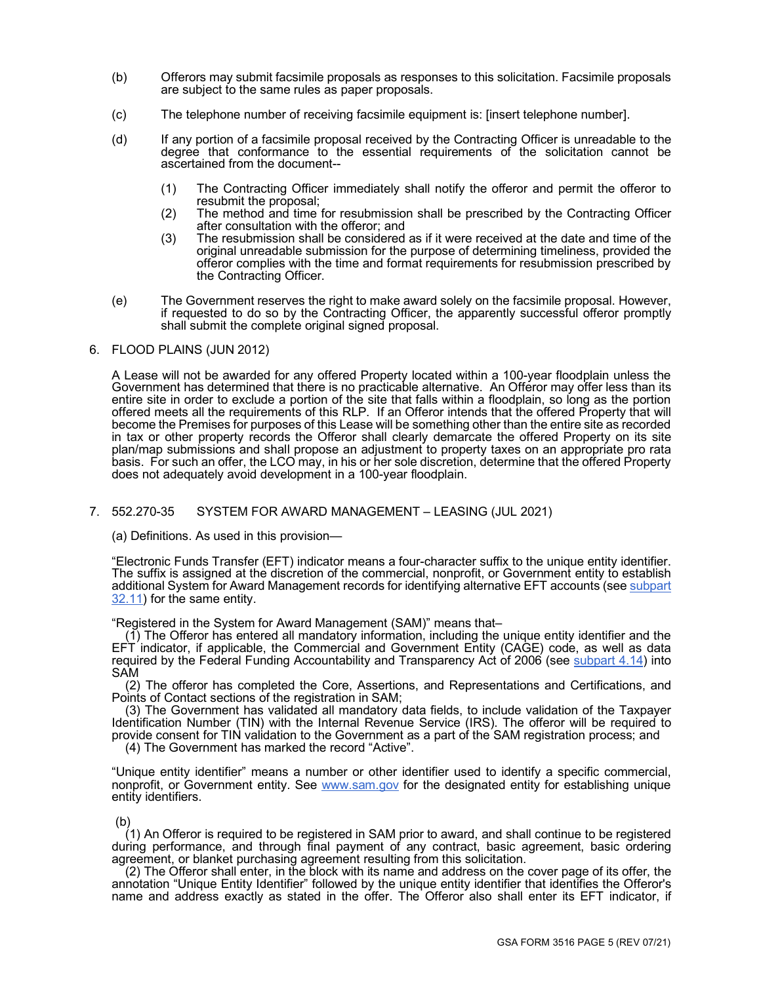- (b) Offerors may submit facsimile proposals as responses to this solicitation. Facsimile proposals are subject to the same rules as paper proposals.
- (c) The telephone number of receiving facsimile equipment is: [insert telephone number].
- (d) If any portion of a facsimile proposal received by the Contracting Officer is unreadable to the degree that conformance to the essential requirements of the solicitation cannot be ascertained from the document--
	- (1) The Contracting Officer immediately shall notify the offeror and permit the offeror to resubmit the proposal;
	- (2) The method and time for resubmission shall be prescribed by the Contracting Officer after consultation with the offeror; and
	- (3) The resubmission shall be considered as if it were received at the date and time of the original unreadable submission for the purpose of determining timeliness, provided the offeror complies with the time and format requirements for resubmission prescribed by the Contracting Officer.
- (e) The Government reserves the right to make award solely on the facsimile proposal. However, if requested to do so by the Contracting Officer, the apparently successful offeror promptly shall submit the complete original signed proposal.

#### 6. FLOOD PLAINS (JUN 2012)

A Lease will not be awarded for any offered Property located within a 100-year floodplain unless the Government has determined that there is no practicable alternative. An Offeror may offer less than its entire site in order to exclude a portion of the site that falls within a floodplain, so long as the portion offered meets all the requirements of this RLP. If an Offeror intends that the offered Property that will become the Premises for purposes of this Lease will be something other than the entire site as recorded in tax or other property records the Offeror shall clearly demarcate the offered Property on its site plan/map submissions and shall propose an adjustment to property taxes on an appropriate pro rata basis. For such an offer, the LCO may, in his or her sole discretion, determine that the offered Property does not adequately avoid development in a 100-year floodplain.

# 7. 552.270-35 SYSTEM FOR AWARD MANAGEMENT – LEASING (JUL 2021)

(a) Definitions. As used in this provision—

"Electronic Funds Transfer (EFT) indicator means a four-character suffix to the unique entity identifier. The suffix is assigned at the discretion of the commercial, nonprofit, or Government entity to establish additional System for Award Management records for identifying alternative EFT accounts (see subpart [32.11\)](https://www.acquisition.gov/content/part-32-contract-financing#i1080713) for the same entity.

"Registered in the System for Award Management (SAM)" means that–

(1) The Offeror has entered all mandatory information, including the unique entity identifier and the EFT indicator, if applicable, the Commercial and Government Entity (CAGE) code, as well as data required by the Federal Funding Accountability and Transparency Act of 2006 (see <u>subpart 4.14</u>) into SAM

(2) The offeror has completed the Core, Assertions, and Representations and Certifications, and Points of Contact sections of the registration in SAM;

(3) The Government has validated all mandatory data fields, to include validation of the Taxpayer Identification Number (TIN) with the Internal Revenue Service (IRS). The offeror will be required to provide consent for TIN validation to the Government as a part of the SAM registration process; and

(4) The Government has marked the record "Active".

"Unique entity identifier" means a number or other identifier used to identify a specific commercial, nonprofit, or Government entity. See [www.sam.gov](http://www.sam.gov/) for the designated entity for establishing unique entity identifiers.

(b)

(1) An Offeror is required to be registered in SAM prior to award, and shall continue to be registered during performance, and through final payment of any contract, basic agreement, basic ordering agreement, or blanket purchasing agreement resulting from this solicitation.

(2) The Offeror shall enter, in the block with its name and address on the cover page of its offer, the annotation "Unique Entity Identifier" followed by the unique entity identifier that identifies the Offeror's name and address exactly as stated in the offer. The Offeror also shall enter its EFT indicator, if